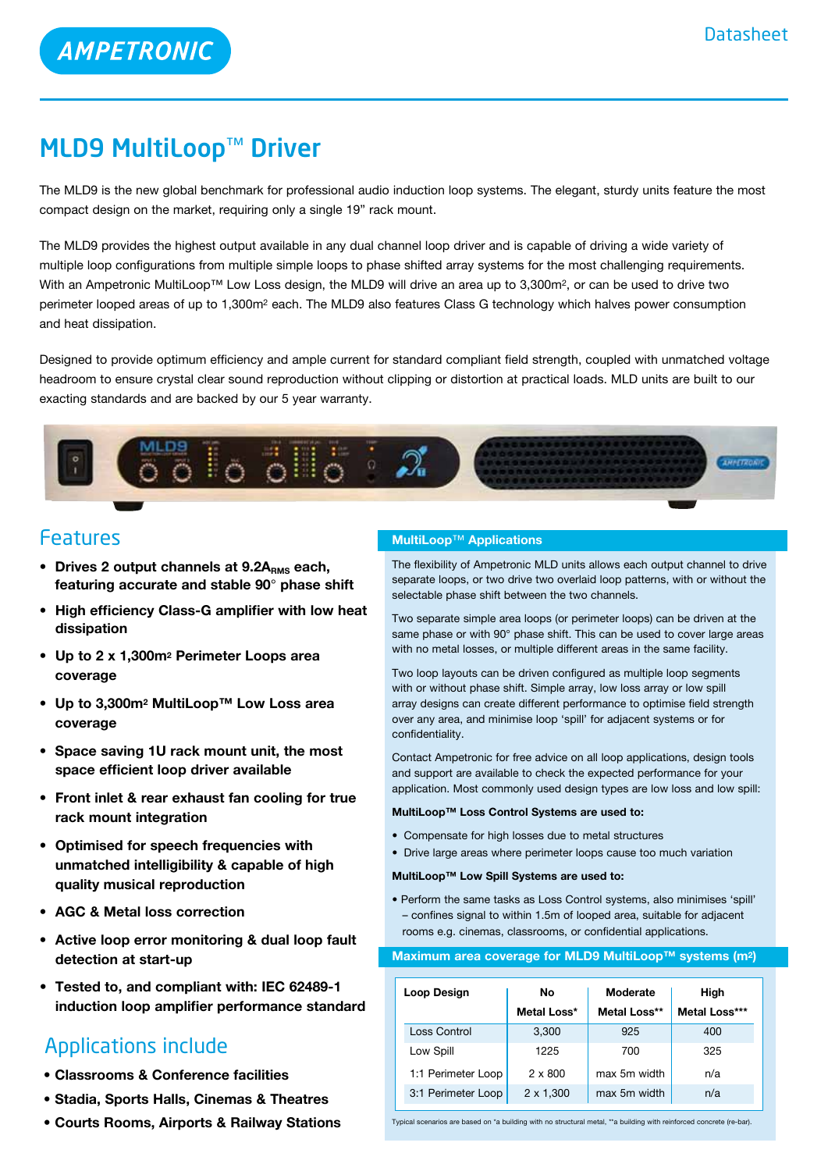# MLD9 MultiLoop™ Driver

**AMPETRONIC** 

The MLD9 is the new global benchmark for professional audio induction loop systems. The elegant, sturdy units feature the most compact design on the market, requiring only a single 19" rack mount.

The MLD9 provides the highest output available in any dual channel loop driver and is capable of driving a wide variety of multiple loop configurations from multiple simple loops to phase shifted array systems for the most challenging requirements. With an Ampetronic MultiLoop™ Low Loss design, the MLD9 will drive an area up to 3,300m<sup>2</sup>, or can be used to drive two perimeter looped areas of up to 1,300m2 each. The MLD9 also features Class G technology which halves power consumption and heat dissipation.

Designed to provide optimum efficiency and ample current for standard compliant field strength, coupled with unmatched voltage headroom to ensure crystal clear sound reproduction without clipping or distortion at practical loads. MLD units are built to our exacting standards and are backed by our 5 year warranty.



# Features

- **•** Drives 2 output channels at 9.2A<sub>RMS</sub> each, **featuring accurate and stable 90**° **phase shift**
- **• High efficiency Class-G amplifier with low heat dissipation**
- **• Up to 2 x 1,300m2 Perimeter Loops area coverage**
- **• Up to 3,300m2 MultiLoop™ Low Loss area coverage**
- **• Space saving 1U rack mount unit, the most space efficient loop driver available**
- **• Front inlet & rear exhaust fan cooling for true rack mount integration**
- **• Optimised for speech frequencies with unmatched intelligibility & capable of high quality musical reproduction**
- **• AGC & Metal loss correction**
- **• Active loop error monitoring & dual loop fault detection at start-up**
- **• Tested to, and compliant with: IEC 62489-1 induction loop amplifier performance standard**

# Applications include

- **• Classrooms & Conference facilities**
- **• Stadia, Sports Halls, Cinemas & Theatres**
- **• Courts Rooms, Airports & Railway Stations**

### **MultiLoop**™ **Applications**

The flexibility of Ampetronic MLD units allows each output channel to drive separate loops, or two drive two overlaid loop patterns, with or without the selectable phase shift between the two channels.

Two separate simple area loops (or perimeter loops) can be driven at the same phase or with 90° phase shift. This can be used to cover large areas with no metal losses, or multiple different areas in the same facility.

Two loop layouts can be driven configured as multiple loop segments with or without phase shift. Simple array, low loss array or low spill array designs can create different performance to optimise field strength over any area, and minimise loop 'spill' for adjacent systems or for confidentiality.

Contact Ampetronic for free advice on all loop applications, design tools and support are available to check the expected performance for your application. Most commonly used design types are low loss and low spill:

#### **MultiLoop™ Loss Control Systems are used to:**

- Compensate for high losses due to metal structures
- Drive large areas where perimeter loops cause too much variation
- **MultiLoop™ Low Spill Systems are used to:**
- Perform the same tasks as Loss Control systems, also minimises 'spill' – confines signal to within 1.5m of looped area, suitable for adjacent rooms e.g. cinemas, classrooms, or confidential applications.

#### **Maximum area coverage for MLD9 MultiLoop™ systems (m2)**

| Loop Design        | No               | Moderate     | High          |
|--------------------|------------------|--------------|---------------|
|                    | Metal Loss*      | Metal Loss** | Metal Loss*** |
| Loss Control       | 3.300            | 925          | 400           |
| Low Spill          | 1225             | 700          | 325           |
| 1:1 Perimeter Loop | $2 \times 800$   | max 5m width | n/a           |
| 3:1 Perimeter Loop | $2 \times 1,300$ | max 5m width | n/a           |

Typical scenarios are based on \*a building with no structural metal, \*\*a building with reinforced concrete (re-bar).